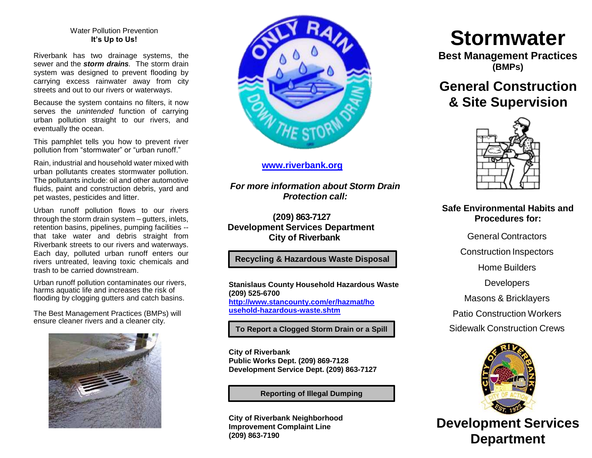#### Water Pollution Prevention **It's Up to Us!**

Riverbank has two drainage systems, the sewer and the *storm drains.* The storm drain system was designed to prevent flooding by carrying excess rainwater away from city streets and out to our rivers or waterways.

Because the system contains no filters, it now serves the *unintended* function of carrying urban pollution straight to our rivers, and eventually the ocean.

This pamphlet tells you how to prevent river pollution from "stormwater" or "urban runoff."

Rain, industrial and household water mixed with urban pollutants creates stormwater pollution. The pollutants include: oil and other automotive fluids, paint and construction debris, yard and pet wastes, pesticides and litter.

Urban runoff pollution flows to our rivers through the storm drain system – gutters, inlets, retention basins, pipelines, pumping facilities - that take water and debris straight from Riverbank streets to our rivers and waterways. Each day, polluted urban runoff enters our rivers untreated, leaving toxic chemicals and trash to be carried downstream.

Urban runoff pollution contaminates our rivers, harms aquatic life and increases the risk of flooding by clogging gutters and catch basins.

The Best Management Practices (BMPs) will ensure cleaner rivers and a cleaner city.





### **[www.riverbank.org](http://www.riverbank.org/)**

*For more information about Storm Drain Protection call:*

**(209) 863-7127 Development Services Department City of Riverbank**

# **Recycling & Hazardous Waste Disposal**

**Stanislaus County Household Hazardous Waste (209) 525-6700 [http://www.stancounty.com/er/hazmat/ho](http://www.stancounty.com/er/hazmat/household-hazardous-waste.shtm) [usehold-hazardous-waste.shtm](http://www.stancounty.com/er/hazmat/household-hazardous-waste.shtm)**

**To Report a Clogged Storm Drain or a Spill**

**City of Riverbank Public Works Dept. (209) 869-7128 Development Service Dept. (209) 863-7127**

**Reporting of Illegal Dumping**

**City of Riverbank Neighborhood Improvement Complaint Line (209) 863-7190**

# **Stormwater**

**Best Management Practices (BMPs)**

# **General Construction & Site Supervision**



# **Safe Environmental Habits and Procedures for:**

General Contractors

Construction Inspectors

Home Builders

**Developers** 

Masons & Bricklayers

Patio Construction Workers

Sidewalk Construction Crews



**Development Services Department**